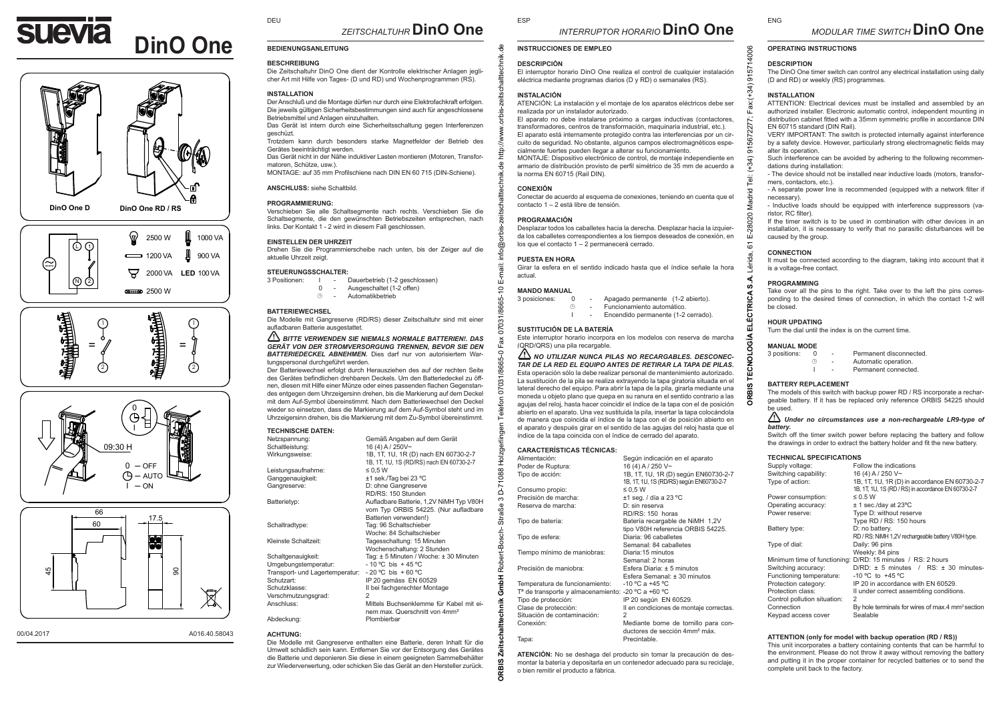

## DEU

# *ZEITSCHALTUHR* **DinO One**

## **BEDIENUNGSANLEITUNG**

#### **BESCHREIBUNG**

Die Zeitschaltuhr DinO One dient der Kontrolle elektrischer Anlagen jeglicher Art mit Hilfe von Tages- (D und RD) und Wochenprogrammen (RS).

#### **INSTALLATION**

Der Anschluß und die Montage dürfen nur durch eine Elektrofachkraft erfolgen. Die jeweils gültigen Sicherheitsbestimmungen sind auch für angeschlossene Betriebsmittel und Anlagen einzuhalten.

Das Gerät ist intern durch eine Sicherheitsschaltung gegen Interferenzen geschüzt.

Trotzdem kann durch besonders starke Magnetfelder der Betrieb des Gerätes beeinträchtigt werden.

Das Gerät nicht in der Nähe induktiver Lasten montieren (Motoren, Transformatoren, Schütze, usw.).

MONTAGE: auf 35 mm Profilschiene nach DIN EN 60 715 (DIN-Schiene).

#### **ANSCHLUSS:** siehe Schaltbild.

#### **PROGRAMMIERUNG:**

Verschieben Sie alle Schaltsegmente nach rechts. Verschieben Sie die Schaltsegmente, die den gewünschten Betriebszeiten entsprechen, nach links. Der Kontakt 1 - 2 wird in diesem Fall geschlossen.

#### **EINSTELLEN DER UHRZEIT**

Drehen Sie die Programmierscheibe nach unten, bis der Zeiger auf die aktuelle Uhrzeit zeigt.

#### **STEUERUNGSSCHALTER:**

- 3 Positionen: I Dauerbetrieb (1-2 geschlossen) 0 - Ausgeschaltet (1-2 offen)<br>
- Automatikhetrieb
	- Automatikhetrieb
- **BATTERIEWECHSEL**

Die Modelle mit Gangreserve (RD/RS) dieser Zeitschaltuhr sind mit einer aufladbaren Batterie ausgestattet.

#### *BITTE VERWENDEN SIE NIEMALS NORMALE BATTERIEN!. DAS GERÄT VON DER STROMVERSORGUNG TRENNEN, BEVOR SIE DEN BATTERIEDECKEL ABNEHMEN.* Dies darf nur von autorisiertem Wartungspersonal durchgeführt werden.

Der Batteriewechsel erfolgt durch Herausziehen des auf der rechten Seite des Gerätes befindlichen drehbaren Deckels. Um den Batteriedeckel zu öffnen, diesen mit Hilfe einer Münze oder eines passenden flachen Gegenstandes entgegen dem Uhrzeigersinn drehen, bis die Markierung auf dem Deckel mit dem Auf-Symbol übereinstimmt. Nach dem Batteriewechsel den Deckel wieder so einsetzen, dass die Markierung auf dem Auf-Symbol steht und im Uhrzeigersinn drehen, bis die Markierung mit dem Zu-Symbol übereinstimmt.

#### **TECHNISCHE DATEN:**

| Netzspannung:        | Gemäß Angaben auf dem Gerät                                                      |
|----------------------|----------------------------------------------------------------------------------|
| Schaltleistung:      | 16 (4) A / 250V~                                                                 |
| Wirkungsweise:       | 1B, 1T, 1U, 1R (D) nach EN 60730-2-7<br>1B. 1T. 1U. 1S (RD/RS) nach EN 60730-2-7 |
| Leistungsaufnahme:   | $\leq 0.5 W$                                                                     |
| Ganggenauigkeit:     | ±1 sek./Tag bei 23 °C                                                            |
| Gangreserve:         | D: ohne Gangreserve                                                              |
|                      | RD/RS: 150 Stunden                                                               |
| Batterietyp:         | Aufladbare Batterie, 1,2V NiMH Typ V80H                                          |
|                      | vom Typ ORBIS 54225. (Nur aufladbare<br>Batterien verwenden!)                    |
| Schaltradtype:       | Tag: 96 Schaltschieber                                                           |
|                      | Woche: 84 Schaltschieber                                                         |
| Kleinste Schaltzeit: | Tagesschaltung: 15 Minuten                                                       |
|                      | Wochenschaltung: 2 Stunden                                                       |
| Schaltgenauigkeit:   | Tag: ± 5 Minuten / Woche: ± 30 Minuten                                           |
| Umgebungstemperatur: | - 10 °C bis + 45 °C                                                              |
|                      |                                                                                  |

Umgebungste Transport- und Lagertemperatur: - 20 °C bis + 60 °C<br>Schutzart: IP 20 gemäss EN 60 Schutzart: IP 20 gemäss EN 60529<br>Schutzklasse: II hei fachgerechter Mont Verschmutzungsgrad:<br>Anschluss:

Die Modelle mit Gangreserve enthalten eine Batterie, deren Inhalt für die Umwelt schädlich sein kann. Entfernen Sie vor der Entsorgung des Gerätes die Batterie und deponieren Sie diese in einem geeigneten Sammelbehälter zur Wiederverwertung, oder schicken Sie das Gerät an den Hersteller zurück.

#### **INSTRUCCIONES DE EMPLEO**

#### **DESCRIPCIÓN**

ESP

El interruptor horario DinO One realiza el control de cualquier instalación eléctrica mediante programas diarios (D y RD) o semanales (RS).

#### **INSTALACIÓN**

ATENCIÓN: La instalación y el montaje de los aparatos eléctricos debe ser realizada por un instalador autorizado.

El aparato no debe instalarse próximo a cargas inductivas (contactores, transformadores, centros de transformación, maquinaria industrial, etc.). El aparato está internamente protegido contra las interferencias por un circuito de seguridad. No obstante, algunos campos electromagnéticos especialmente fuertes pueden llegar a alterar su funcionamiento. MONTAJE: Dispositivo electrónico de control, de montaje independiente en

armario de distribución provisto de perfil simétrico de 35 mm de acuerdo a la norma EN 60715 (Rail DIN).

#### **CONEXIÓN**

Conectar de acuerdo al esquema de conexiones, teniendo en cuenta que el contacto 1 – 2 está libre de tensión.

#### **PROGRAMACIÓN**

Desplazar todos los caballetes hacia la derecha. Desplazar hacia la izquierda los caballetes correspondientes a los tiempos deseados de conexión, en los que el contacto 1 – 2 permanecerá cerrado.

#### **PUESTA EN HORA**

Girar la esfera en el sentido indicado hasta que el índice señale la hora actual.

# **MANDO MANUAL**<br>3 posiciones: 0

**ORBIS Zeitschalttechnik GmbH** Robert-Bosch- Straße 3 D-71088 Holzgerlingen Telefon 07031/8665-0 Fax 07031/8665-10 E-mail: info@orbis-zeitschalttechnik.de http://www.orbis-zeitschalttechnik.de

5

훞 088 Ġ ന 丟

Rob 줄 .등

ĭ

DRBI

 $\circ$ 

 $\overline{3}$  - Apagado permanente (1-2 abierto).<br>  $\overline{3}$  - Funcionamiento automático

- Funcionamiento automático.<br>- Fucendido permanente (1-2) Encendido permanente (1-2 cerrado).

#### **SUSTITUCIÓN DE LA BATERÍA**

Este interruptor horario incorpora en los modelos con reserva de marcha (QRD/QRS) una pila recargable.

 *NO UTILIZAR NUNCA PILAS NO RECARGABLES. DESCONEC-TAR DE LA RED EL EQUIPO ANTES DE RETIRAR LA TAPA DE PILAS.* Esta operación sólo la debe realizar personal de mantenimiento autorizado. La sustitución de la pila se realiza extrayendo la tapa giratoria situada en el lateral derecho del equipo. Para abrir la tapa de la pila, girarla mediante una moneda u objeto plano que quepa en su ranura en el sentido contrario a las agujas del reloj, hasta hacer coincidir el índice de la tapa con el de posición abierto en el aparato. Una vez sustituida la pila, insertar la tapa colocándola de manera que coincida el índice de la tapa con el de posición abierto en el aparato y después girar en el sentido de las agujas del reloj hasta que el índice de la tapa coincida con el índice de cerrado del aparato.

## **CARACTERÍSTICAS TÉCNICAS:**

| Alimentación:                                                  | Según indicación en el aparato            |
|----------------------------------------------------------------|-------------------------------------------|
| Poder de Ruptura:                                              | 16 (4) A / 250 V~                         |
| Tipo de acción:                                                | 1B, 1T, 1U, 1R (D) según EN60730-2-7      |
|                                                                | 1B, 1T, 1U, 1S (RD/RS) sequn EN60730-2-7  |
| Consumo propio:                                                | $\leq 0.5 W$                              |
| Precisión de marcha:                                           | $±1$ seg. / día a 23 °C                   |
| Reserva de marcha:                                             | D: sin reserva                            |
|                                                                | RD/RS: 150 horas                          |
| Tipo de batería:                                               | Batería recargable de NiMH 1,2V           |
|                                                                | tipo V80H referencia ORBIS 54225.         |
| Tipo de esfera:                                                | Diaria: 96 caballetes                     |
|                                                                | Semanal: 84 caballetes                    |
| Tiempo mínimo de maniobras:                                    | Diaria:15 minutos                         |
|                                                                | Semanal: 2 horas                          |
| Precisión de maniobra:                                         | Esfera Diaria: + 5 minutos                |
|                                                                | Esfera Semanal: ± 30 minutos              |
| Temperatura de funcionamiento:                                 | -10 °C a +45 °C                           |
| T <sup>a</sup> de transporte y almacenamiento: -20 °C a +60 °C |                                           |
| Tipo de protección:                                            | IP 20 según EN 60529.                     |
| Clase de protección:                                           | Il en condiciones de montaje correctas.   |
| Situación de contaminación:                                    | $\mathcal{P}$                             |
| Conexión:                                                      | Mediante borne de tornillo para con-      |
|                                                                | ductores de sección 4mm <sup>2</sup> máx. |
| Tapa:                                                          | Precintable.                              |

**ATENCIÓN:** No se deshaga del producto sin tomar la precaución de desmontar la batería y depositarla en un contenedor adecuado para su reciclaje, o bien remitir el producto a fábrica.

## **DESCRIPTION**

ENG

4006  $31571$ 

5672277: ਨ  $(34)$ ō, adrid 20 The DinO One timer switch can control any electrical installation using daily (D and RD) or weekly (RS) programmes.

#### **INSTALLATION**

ATTENTION: Electrical devices must be installed and assembled by an authorized installer. Electronic automatic control, independent mounting in distribution cabinet fitted with a 35mm symmetric profile in accordance DIN EN 60715 standard (DIN Rail).

VERY IMPORTANT: The switch is protected internally against interference by a safety device. However, particularly strong electromagnetic fields may alter its operation.

Such interference can be avoided by adhering to the following recommendations during installation:

- The device should not be installed near inductive loads (motors, transformers, contactors, etc.).

- A separate power line is recommended (equipped with a network filter if necessary).

- Inductive loads should be equipped with interference suppressors (varistor, RC filter).

If the timer switch is to be used in combination with other devices in an installation, it is necessary to verify that no parasitic disturbances will be caused by the group.

#### **CONNECTION**

**ORBIS TECNOLOGÍA ELÉCTRICA S.A.** Lérida, 61 E-28020 Madrid Tel: (+34) 915672277; Fax:(+34) 915714006

пù 6 -érida.

**TRICA** 

⊴ g ಕ Ā

**RBI** 

It must be connected according to the diagram, taking into account that it is a voltage-free contact.

#### **PROGRAMMING**

Take over all the pins to the right. Take over to the left the pins corresponding to the desired times of connection, in which the contact 1-2 will be closed.

#### **HOUR UPDATING**

Turn the dial until the index is on the current time.

## **MANUAL MODE**<br>3 nositions: 0

| 3 positions: |    | ۰                        | Permanent disconnected. |
|--------------|----|--------------------------|-------------------------|
|              | £Ð | $\overline{\phantom{a}}$ | Automatic operation.    |
|              |    | $\overline{\phantom{a}}$ | Permanent connected.    |

#### **BATTERY REPLACEMENT**

The models of this switch with backup power RD / RS incorporate a rechargeable battery. If it has be replaced only reference ORBIS 54225 should be used.

#### *Under no circumstances use a non-rechargeable LR9-type of battery.*

Switch off the timer switch power before replacing the battery and follow the drawings in order to extract the battery holder and fit the new battery.

#### **TECHNICAL SPECIFICATIONS**

| Supply voltage:                                 | Follow the indications                                                                               |
|-------------------------------------------------|------------------------------------------------------------------------------------------------------|
| Switching capability:                           | 16 (4) A / 250 V~                                                                                    |
| Type of action:                                 | 1B, 1T, 1U, 1R (D) in accordance EN 60730-2-7<br>1B, 1T, 1U, 1S (RD / RS) in accordance EN 60730-2-7 |
| Power consumption:                              | $\leq 0.5$ W                                                                                         |
| Operating accuracy:                             | $±$ 1 sec./day at 23°C                                                                               |
| Power reserve:                                  | Type D: without reserve                                                                              |
|                                                 | Type RD / RS: 150 hours                                                                              |
| Battery type:                                   | D: no battery.                                                                                       |
|                                                 | RD / RS: NiMH 1,2V rechargeable battery V80H type.                                                   |
| Type of dial:                                   | Daily: 96 pins                                                                                       |
|                                                 | Weekly: 84 pins                                                                                      |
|                                                 | Minimum time of functioning: D/RD: 15 minutes / RS: 2 hours                                          |
| Switching accuracy:<br>Functioning temperature: | $D/RD: \pm 5$ minutes / RS: $\pm 30$ minutes-<br>-10 °C to +45 °C                                    |
| Protection category:                            | IP 20 in accordance with EN 60529.                                                                   |
| Protection class:                               | II under correct assembling conditions.                                                              |
| Control pollution situation:                    | $\overline{2}$                                                                                       |
| Connection                                      | By hole terminals for wires of max.4 mm <sup>2</sup> section                                         |
| Keypad access cover                             | Sealable                                                                                             |
|                                                 |                                                                                                      |

#### **ATTENTION (only for model with backup operation (RD / RS))**

This unit incorporates a battery containing contents that can be harmful to the environment. Please do not throw it away without removing the battery and putting it in the proper container for recycled batteries or to send the complete unit back to the factory.



ጣ

=

開電

N 2

⋐

 $\odot$ 

 $\mathcal{C}$ 



00/04.2017 **A016.40.58043** 

Abdeckung: Plombierbar

#### **ACHTUNG:**

II bei fachgerechter Montage

Mittels Buchsenklemme für Kabel mit einem max. Querschnitt von 4mm²

#### **DinO One D DinO One RD / RS** ଳ 2500 W 1000 VA L) Q  $\rightarrow$  1200 VA 900 VA ロ 2000 VA **LED** 100 VA

**REHABO** 2500 W

開開

 $\bigcap$ 

=

 $\mathcal{L}$